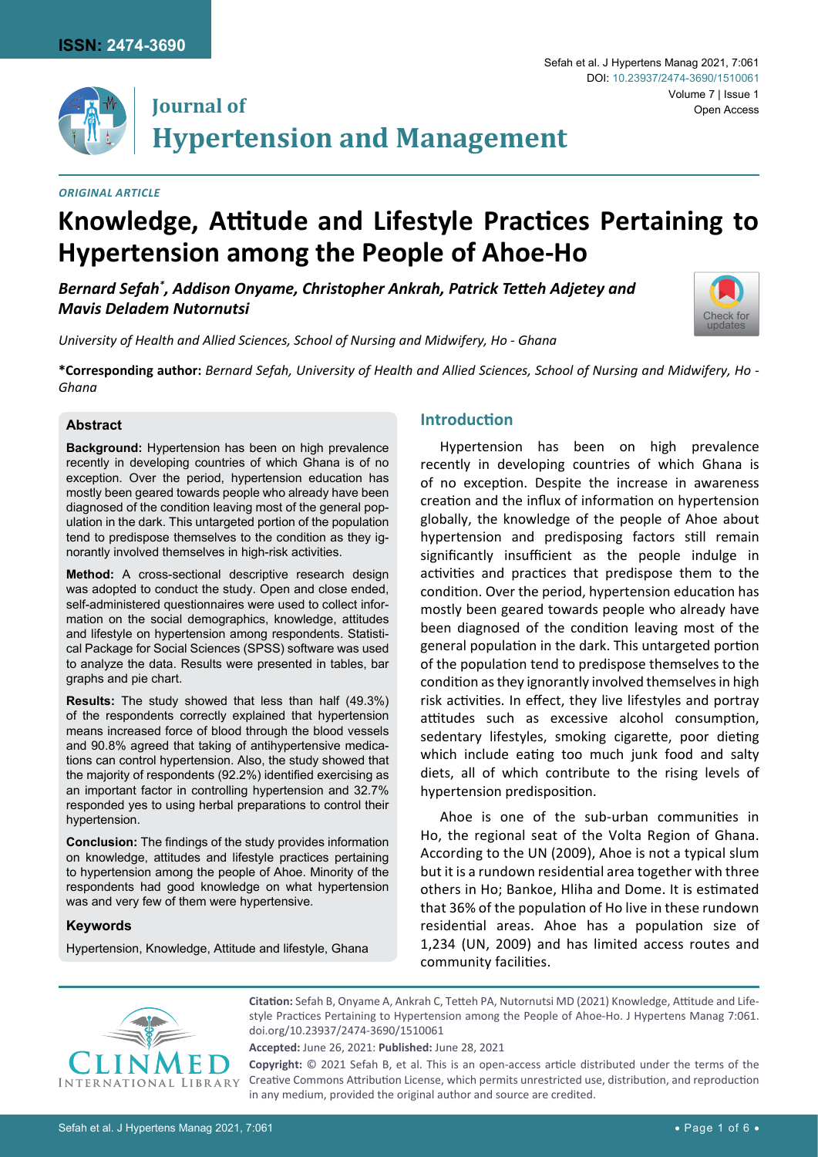

# **Journal of Hypertension and Management**

#### *Original Article*

*Mavis Deladem Nutornutsi*

#### Sefah et al. J Hypertens Manag 2021, 7:061 Volume 7 | Issue 1 Open Access DOI: [10.23937/2474-3690/1510061](https://doi.org/10.23937/2474-3690/1510061)



*University of Health and Allied Sciences, School of Nursing and Midwifery, Ho - Ghana*

**Hypertension among the People of Ahoe-Ho**

*Bernard Sefah\* , Addison Onyame, Christopher Ankrah, Patrick Tetteh Adjetey and* 

**\*Corresponding author:** *Bernard Sefah, University of Health and Allied Sciences, School of Nursing and Midwifery, Ho - Ghana*

**Knowledge, Attitude and Lifestyle Practices Pertaining to** 

#### **Abstract**

**Background:** Hypertension has been on high prevalence recently in developing countries of which Ghana is of no exception. Over the period, hypertension education has mostly been geared towards people who already have been diagnosed of the condition leaving most of the general population in the dark. This untargeted portion of the population tend to predispose themselves to the condition as they ignorantly involved themselves in high-risk activities.

**Method:** A cross-sectional descriptive research design was adopted to conduct the study. Open and close ended, self-administered questionnaires were used to collect information on the social demographics, knowledge, attitudes and lifestyle on hypertension among respondents. Statistical Package for Social Sciences (SPSS) software was used to analyze the data. Results were presented in tables, bar graphs and pie chart.

**Results:** The study showed that less than half (49.3%) of the respondents correctly explained that hypertension means increased force of blood through the blood vessels and 90.8% agreed that taking of antihypertensive medications can control hypertension. Also, the study showed that the majority of respondents (92.2%) identified exercising as an important factor in controlling hypertension and 32.7% responded yes to using herbal preparations to control their hypertension.

**Conclusion:** The findings of the study provides information on knowledge, attitudes and lifestyle practices pertaining to hypertension among the people of Ahoe. Minority of the respondents had good knowledge on what hypertension was and very few of them were hypertensive.

#### **Keywords**

Hypertension, Knowledge, Attitude and lifestyle, Ghana

## **Introduction**

Hypertension has been on high prevalence recently in developing countries of which Ghana is of no exception. Despite the increase in awareness creation and the influx of information on hypertension globally, the knowledge of the people of Ahoe about hypertension and predisposing factors still remain significantly insufficient as the people indulge in activities and practices that predispose them to the condition. Over the period, hypertension education has mostly been geared towards people who already have been diagnosed of the condition leaving most of the general population in the dark. This untargeted portion of the population tend to predispose themselves to the condition as they ignorantly involved themselves in high risk activities. In effect, they live lifestyles and portray attitudes such as excessive alcohol consumption, sedentary lifestyles, smoking cigarette, poor dieting which include eating too much junk food and salty diets, all of which contribute to the rising levels of hypertension predisposition.

Ahoe is one of the sub-urban communities in Ho, the regional seat of the Volta Region of Ghana. According to the UN (2009), Ahoe is not a typical slum but it is a rundown residential area together with three others in Ho; Bankoe, Hliha and Dome. It is estimated that 36% of the population of Ho live in these rundown residential areas. Ahoe has a population size of 1,234 (UN, 2009) and has limited access routes and community facilities.



**Citation:** Sefah B, Onyame A, Ankrah C, Tetteh PA, Nutornutsi MD (2021) Knowledge, Attitude and Lifestyle Practices Pertaining to Hypertension among the People of Ahoe-Ho. J Hypertens Manag 7:061. [doi.org/10.23937/2474-3690/1510061](https://doi.org/10.23937/2474-3690/1510061)

**Accepted:** June 26, 2021: **Published:** June 28, 2021

**Copyright:** © 2021 Sefah B, et al. This is an open-access article distributed under the terms of the Creative Commons Attribution License, which permits unrestricted use, distribution, and reproduction in any medium, provided the original author and source are credited.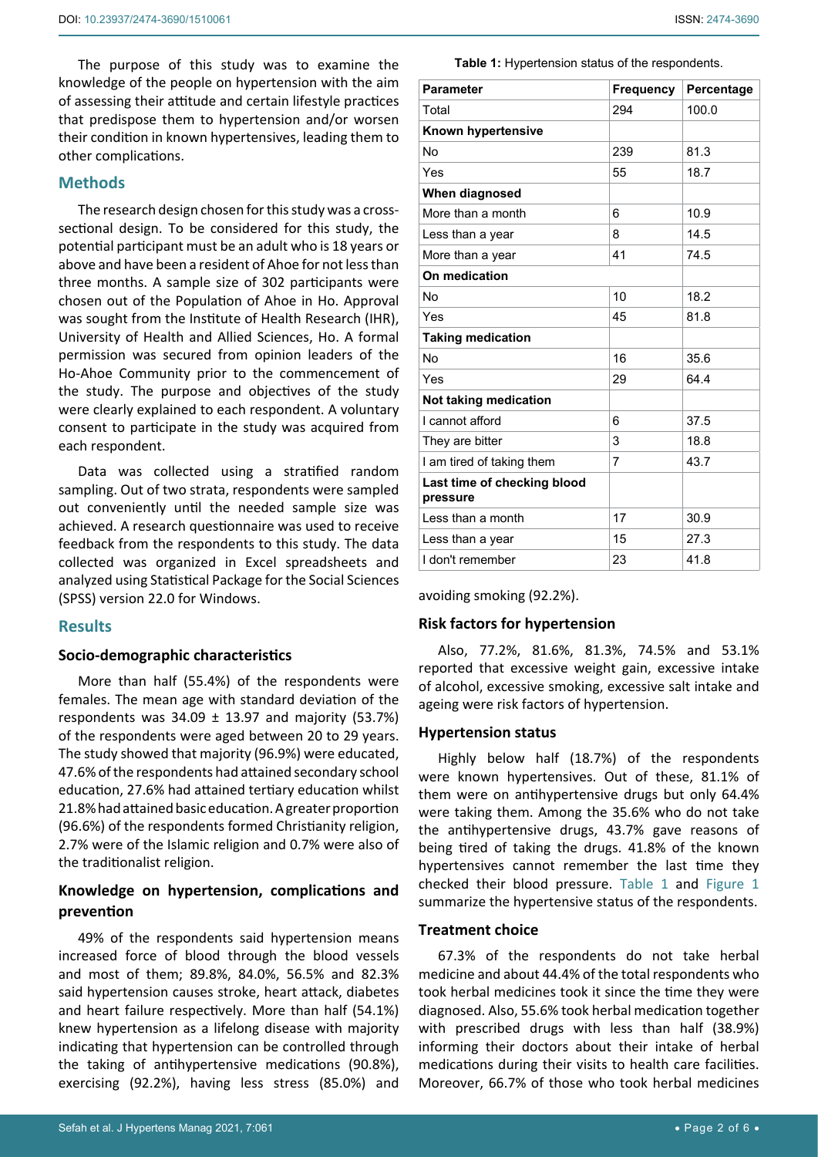The purpose of this study was to examine the knowledge of the people on hypertension with the aim of assessing their attitude and certain lifestyle practices that predispose them to hypertension and/or worsen their condition in known hypertensives, leading them to other complications.

#### **Methods**

The research design chosen for this study was a crosssectional design. To be considered for this study, the potential participant must be an adult who is 18 years or above and have been a resident of Ahoe for not less than three months. A sample size of 302 participants were chosen out of the Population of Ahoe in Ho. Approval was sought from the Institute of Health Research (IHR), University of Health and Allied Sciences, Ho. A formal permission was secured from opinion leaders of the Ho-Ahoe Community prior to the commencement of the study. The purpose and objectives of the study were clearly explained to each respondent. A voluntary consent to participate in the study was acquired from each respondent.

Data was collected using a stratified random sampling. Out of two strata, respondents were sampled out conveniently until the needed sample size was achieved. A research questionnaire was used to receive feedback from the respondents to this study. The data collected was organized in Excel spreadsheets and analyzed using Statistical Package for the Social Sciences (SPSS) version 22.0 for Windows.

### **Results**

#### **Socio-demographic characteristics**

More than half (55.4%) of the respondents were females. The mean age with standard deviation of the respondents was  $34.09 \pm 13.97$  and majority (53.7%) of the respondents were aged between 20 to 29 years. The study showed that majority (96.9%) were educated, 47.6% of the respondents had attained secondary school education, 27.6% had attained tertiary education whilst 21.8% had attained basic education. A greater proportion (96.6%) of the respondents formed Christianity religion, 2.7% were of the Islamic religion and 0.7% were also of the traditionalist religion.

## **Knowledge on hypertension, complications and prevention**

49% of the respondents said hypertension means increased force of blood through the blood vessels and most of them; 89.8%, 84.0%, 56.5% and 82.3% said hypertension causes stroke, heart attack, diabetes and heart failure respectively. More than half (54.1%) knew hypertension as a lifelong disease with majority indicating that hypertension can be controlled through the taking of antihypertensive medications (90.8%), exercising (92.2%), having less stress (85.0%) and

<span id="page-1-0"></span>**Table 1:** Hypertension status of the respondents.

| <b>Parameter</b>                        | <b>Frequency</b> | Percentage |  |
|-----------------------------------------|------------------|------------|--|
| Total                                   | 294              | 100.0      |  |
| Known hypertensive                      |                  |            |  |
| No                                      | 239              | 81.3       |  |
| Yes                                     | 55               | 18.7       |  |
| When diagnosed                          |                  |            |  |
| More than a month                       | 6                | 10.9       |  |
| Less than a year                        | 8                | 14.5       |  |
| More than a year                        | 41               | 74.5       |  |
| On medication                           |                  |            |  |
| No                                      | 10               | 18.2       |  |
| Yes                                     | 45               | 81.8       |  |
| <b>Taking medication</b>                |                  |            |  |
| No                                      | 16               | 35.6       |  |
| Yes                                     | 29               | 64.4       |  |
| Not taking medication                   |                  |            |  |
| I cannot afford                         | 6                | 37.5       |  |
| They are bitter                         | 3                | 18.8       |  |
| I am tired of taking them               | $\overline{7}$   | 43.7       |  |
| Last time of checking blood<br>pressure |                  |            |  |
| Less than a month                       | 17               | 30.9       |  |
| Less than a year                        | 15               | 27.3       |  |
| I don't remember                        | 23               | 41.8       |  |

avoiding smoking (92.2%).

#### **Risk factors for hypertension**

Also, 77.2%, 81.6%, 81.3%, 74.5% and 53.1% reported that excessive weight gain, excessive intake of alcohol, excessive smoking, excessive salt intake and ageing were risk factors of hypertension.

#### **Hypertension status**

Highly below half (18.7%) of the respondents were known hypertensives. Out of these, 81.1% of them were on antihypertensive drugs but only 64.4% were taking them. Among the 35.6% who do not take the antihypertensive drugs, 43.7% gave reasons of being tired of taking the drugs. 41.8% of the known hypertensives cannot remember the last time they checked their blood pressure. [Table 1](#page-1-0) and [Figure 1](#page-2-0) summarize the hypertensive status of the respondents.

#### **Treatment choice**

67.3% of the respondents do not take herbal medicine and about 44.4% of the total respondents who took herbal medicines took it since the time they were diagnosed. Also, 55.6% took herbal medication together with prescribed drugs with less than half (38.9%) informing their doctors about their intake of herbal medications during their visits to health care facilities. Moreover, 66.7% of those who took herbal medicines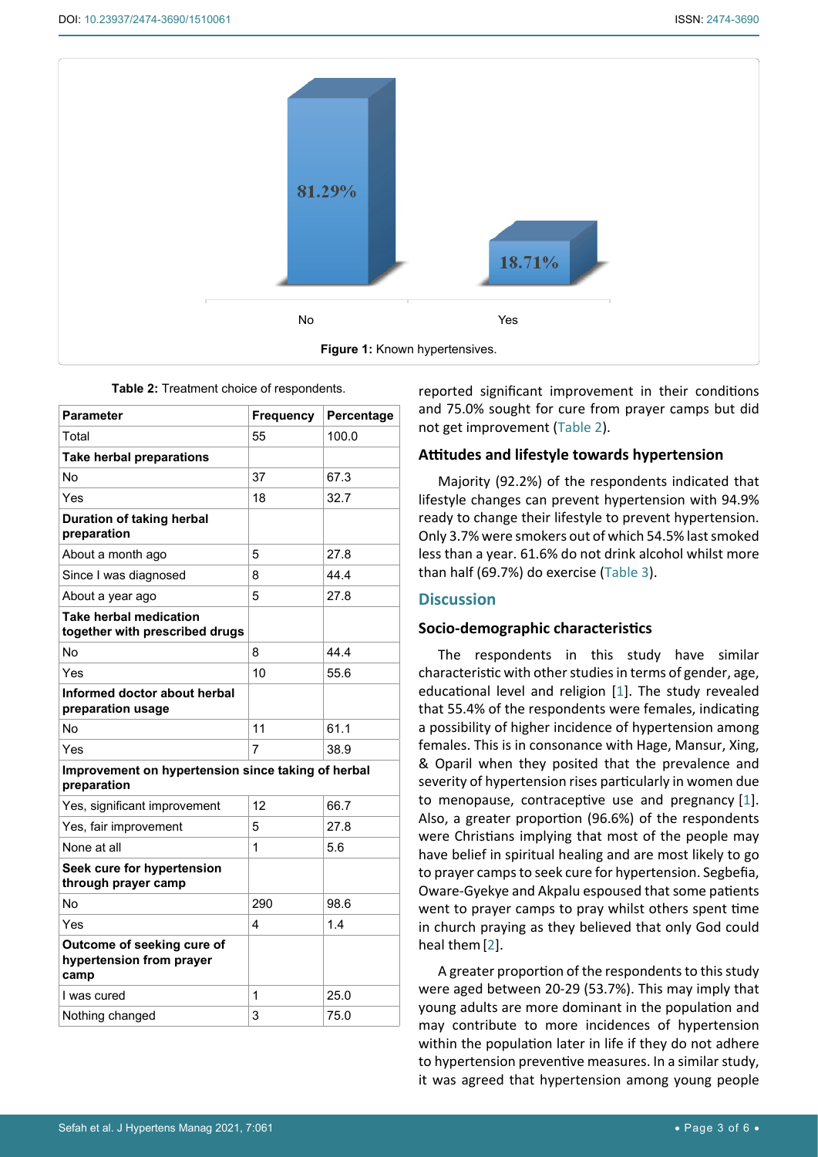<span id="page-2-0"></span>

| able 2. Heathleft choice of respondents.                          |                  |            |  |  |
|-------------------------------------------------------------------|------------------|------------|--|--|
| <b>Parameter</b>                                                  | <b>Frequency</b> | Percentage |  |  |
| Total                                                             | 55               | 100.0      |  |  |
| <b>Take herbal preparations</b>                                   |                  |            |  |  |
| No                                                                | 37               | 67.3       |  |  |
| Yes                                                               | 18               | 32.7       |  |  |
| Duration of taking herbal<br>preparation                          |                  |            |  |  |
| About a month ago                                                 | 5                | 27.8       |  |  |
| Since I was diagnosed                                             | 8                | 44.4       |  |  |
| About a year ago                                                  | 5                | 27.8       |  |  |
| <b>Take herbal medication</b><br>together with prescribed drugs   |                  |            |  |  |
| <b>No</b>                                                         | 8                | 44.4       |  |  |
| Yes                                                               | 10               | 55.6       |  |  |
| Informed doctor about herbal<br>preparation usage                 |                  |            |  |  |
| No                                                                | 11               | 61.1       |  |  |
| Yes                                                               | 7                | 38.9       |  |  |
| Improvement on hypertension since taking of herbal<br>preparation |                  |            |  |  |
| Yes, significant improvement                                      | 12               | 66.7       |  |  |
| Yes, fair improvement                                             | 5                | 27.8       |  |  |
| None at all                                                       | 1                | 5.6        |  |  |
| Seek cure for hypertension<br>through prayer camp                 |                  |            |  |  |
| No                                                                | 290              | 98.6       |  |  |
| Yes                                                               | 4                | 1.4        |  |  |
| Outcome of seeking cure of<br>hypertension from prayer<br>camp    |                  |            |  |  |
| I was cured                                                       | 1                | 25.0       |  |  |
| Nothing changed                                                   | 3                | 75.0       |  |  |

<span id="page-2-1"></span>

| <b>Table 2:</b> Treatment choice of respondents. |  |
|--------------------------------------------------|--|
|--------------------------------------------------|--|

reported significant improvement in their conditions and 75.0% sought for cure from prayer camps but did not get improvement [\(Table 2](#page-2-1)).

#### **Attitudes and lifestyle towards hypertension**

Majority (92.2%) of the respondents indicated that lifestyle changes can prevent hypertension with 94.9% ready to change their lifestyle to prevent hypertension. Only 3.7% were smokers out of which 54.5% last smoked less than a year. 61.6% do not drink alcohol whilst more than half (69.7%) do exercise [\(Table 3\)](#page-3-0).

#### **Discussion**

#### **Socio-demographic characteristics**

The respondents in this study have similar characteristic with other studies in terms of gender, age, educational level and religion [[1](#page-5-0)]. The study revealed that 55.4% of the respondents were females, indicating a possibility of higher incidence of hypertension among females. This is in consonance with Hage, Mansur, Xing, & Oparil when they posited that the prevalence and severity of hypertension rises particularly in women due to menopause, contraceptive use and pregnancy [\[1\]](#page-5-0). Also, a greater proportion (96.6%) of the respondents were Christians implying that most of the people may have belief in spiritual healing and are most likely to go to prayer camps to seek cure for hypertension. Segbefia, Oware-Gyekye and Akpalu espoused that some patients went to prayer camps to pray whilst others spent time in church praying as they believed that only God could heal them[[2](#page-5-1)].

A greater proportion of the respondents to this study were aged between 20-29 (53.7%). This may imply that young adults are more dominant in the population and may contribute to more incidences of hypertension within the population later in life if they do not adhere to hypertension preventive measures. In a similar study, it was agreed that hypertension among young people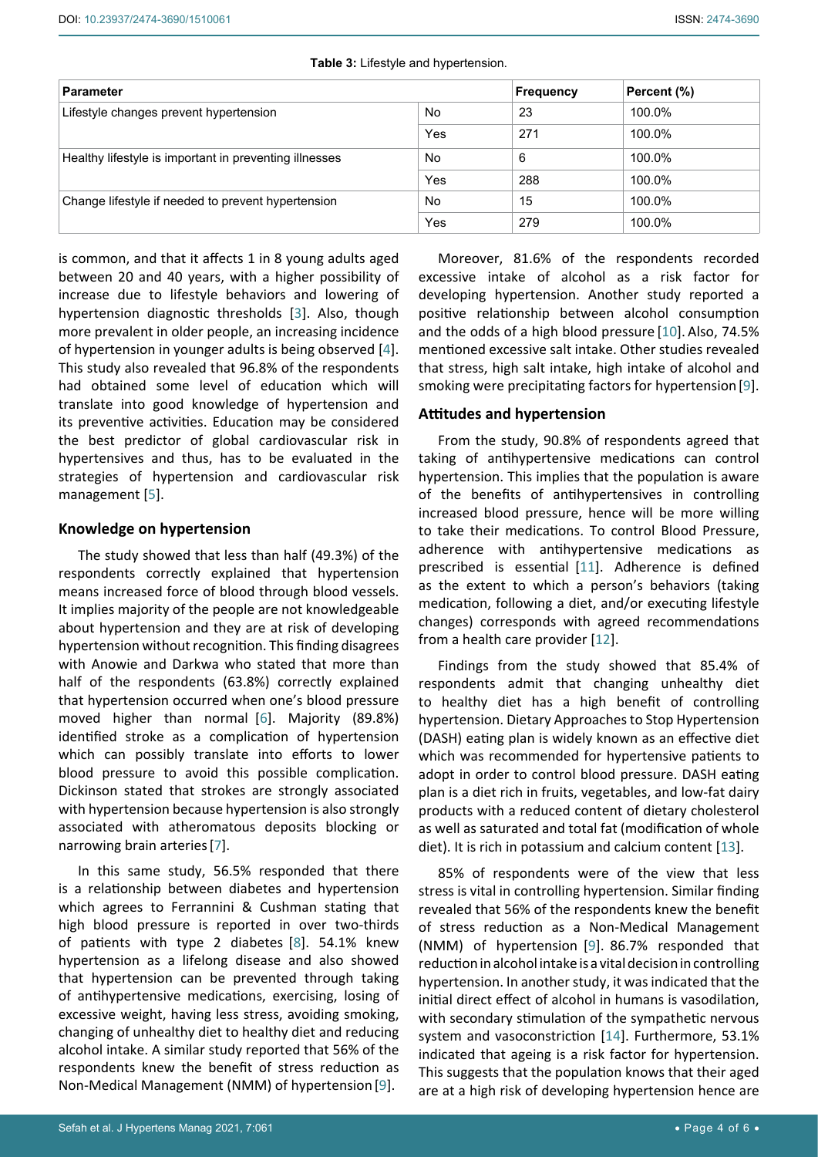<span id="page-3-0"></span>

|  |  | Table 3: Lifestyle and hypertension. |
|--|--|--------------------------------------|
|--|--|--------------------------------------|

| <b>Parameter</b>                                       |     | Frequency | Percent (%) |
|--------------------------------------------------------|-----|-----------|-------------|
| Lifestyle changes prevent hypertension                 | No  | 23        | 100.0%      |
|                                                        | Yes | 271       | 100.0%      |
| Healthy lifestyle is important in preventing illnesses | No  | 6         | 100.0%      |
|                                                        | Yes | 288       | 100.0%      |
| Change lifestyle if needed to prevent hypertension     | No  | 15        | 100.0%      |
|                                                        | Yes | 279       | 100.0%      |

is common, and that it affects 1 in 8 young adults aged between 20 and 40 years, with a higher possibility of increase due to lifestyle behaviors and lowering of hypertension diagnostic thresholds [\[3\]](#page-5-8). Also, though more prevalent in older people, an increasing incidence of hypertension in younger adults is being observed [[4](#page-5-9)]. This study also revealed that 96.8% of the respondents had obtained some level of education which will translate into good knowledge of hypertension and its preventive activities. Education may be considered the best predictor of global cardiovascular risk in hypertensives and thus, has to be evaluated in the strategies of hypertension and cardiovascular risk management [[5](#page-5-10)].

#### **Knowledge on hypertension**

The study showed that less than half (49.3%) of the respondents correctly explained that hypertension means increased force of blood through blood vessels. It implies majority of the people are not knowledgeable about hypertension and they are at risk of developing hypertension without recognition. This finding disagrees with Anowie and Darkwa who stated that more than half of the respondents (63.8%) correctly explained that hypertension occurred when one's blood pressure moved higher than normal [\[6\]](#page-5-11). Majority (89.8%) identified stroke as a complication of hypertension which can possibly translate into efforts to lower blood pressure to avoid this possible complication. Dickinson stated that strokes are strongly associated with hypertension because hypertension is also strongly associated with atheromatous deposits blocking or narrowing brain arteries[[7](#page-5-12)].

In this same study, 56.5% responded that there is a relationship between diabetes and hypertension which agrees to Ferrannini & Cushman stating that high blood pressure is reported in over two-thirds of patients with type 2 diabetes [[8](#page-5-13)]. 54.1% knew hypertension as a lifelong disease and also showed that hypertension can be prevented through taking of antihypertensive medications, exercising, losing of excessive weight, having less stress, avoiding smoking, changing of unhealthy diet to healthy diet and reducing alcohol intake. A similar study reported that 56% of the respondents knew the benefit of stress reduction as Non-Medical Management (NMM) of hypertension [[9\]](#page-5-3).

Moreover, 81.6% of the respondents recorded excessive intake of alcohol as a risk factor for developing hypertension. Another study reported a positive relationship between alcohol consumption and the odds of a high blood pressure [[10\]](#page-5-2). Also, 74.5% mentioned excessive salt intake. Other studies revealed that stress, high salt intake, high intake of alcohol and smoking were precipitating factors for hypertension[\[9\]](#page-5-3).

#### **Attitudes and hypertension**

From the study, 90.8% of respondents agreed that taking of antihypertensive medications can control hypertension. This implies that the population is aware of the benefits of antihypertensives in controlling increased blood pressure, hence will be more willing to take their medications. To control Blood Pressure, adherence with antihypertensive medications as prescribed is essential [\[11](#page-5-4)]. Adherence is defined as the extent to which a person's behaviors (taking medication, following a diet, and/or executing lifestyle changes) corresponds with agreed recommendations from a health care provider [\[12](#page-5-5)].

Findings from the study showed that 85.4% of respondents admit that changing unhealthy diet to healthy diet has a high benefit of controlling hypertension. Dietary Approaches to Stop Hypertension (DASH) eating plan is widely known as an effective diet which was recommended for hypertensive patients to adopt in order to control blood pressure. DASH eating plan is a diet rich in fruits, vegetables, and low-fat dairy products with a reduced content of dietary cholesterol as well as saturated and total fat (modification of whole diet). It is rich in potassium and calcium content [[13\]](#page-5-6).

85% of respondents were of the view that less stress is vital in controlling hypertension. Similar finding revealed that 56% of the respondents knew the benefit of stress reduction as a Non-Medical Management (NMM) of hypertension [\[9\]](#page-5-3). 86.7% responded that reduction in alcohol intake is a vital decision in controlling hypertension. In another study, it was indicated that the initial direct effect of alcohol in humans is vasodilation, with secondary stimulation of the sympathetic nervous system and vasoconstriction [[14\]](#page-5-7). Furthermore, 53.1% indicated that ageing is a risk factor for hypertension. This suggests that the population knows that their aged are at a high risk of developing hypertension hence are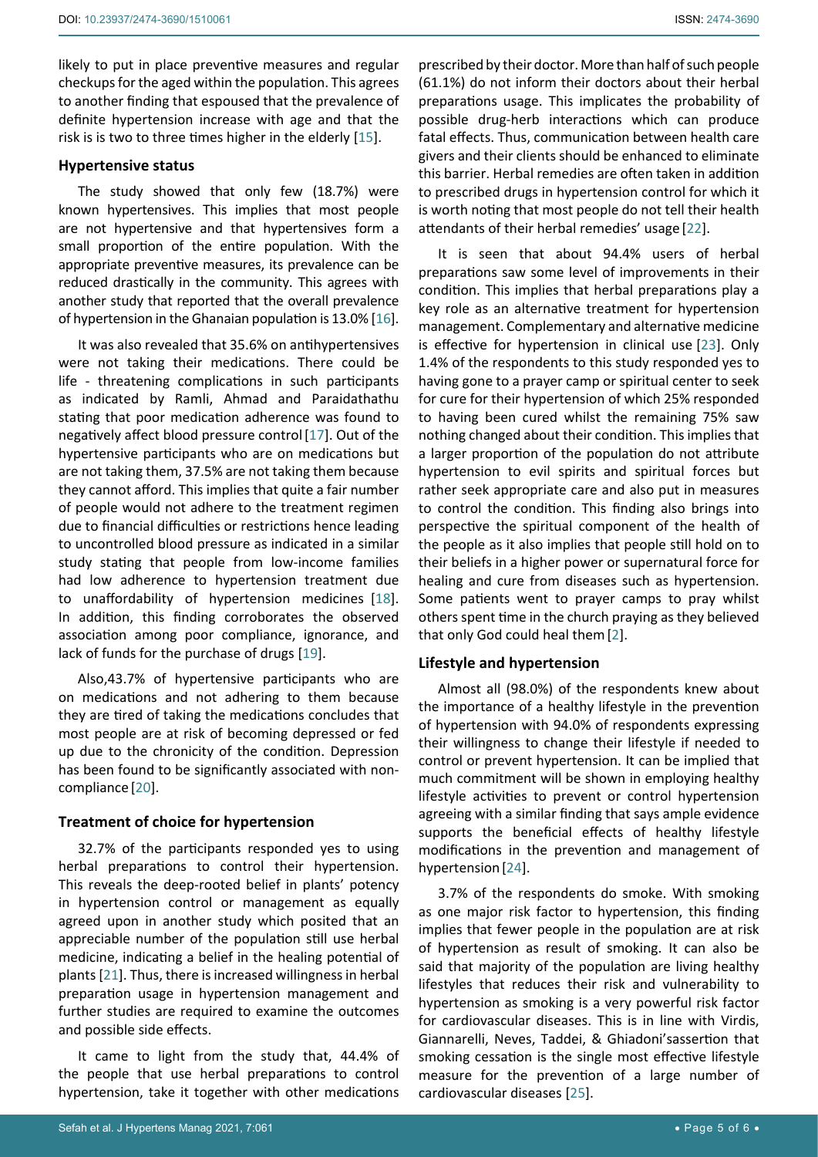likely to put in place preventive measures and regular checkups for the aged within the population. This agrees to another finding that espoused that the prevalence of definite hypertension increase with age and that the risk is is two to three times higher in the elderly [[15\]](#page-5-18).

#### **Hypertensive status**

The study showed that only few (18.7%) were known hypertensives. This implies that most people are not hypertensive and that hypertensives form a small proportion of the entire population. With the appropriate preventive measures, its prevalence can be reduced drastically in the community. This agrees with another study that reported that the overall prevalence of hypertension in the Ghanaian population is 13.0% [[16\]](#page-5-19).

It was also revealed that 35.6% on antihypertensives were not taking their medications. There could be life - threatening complications in such participants as indicated by Ramli, Ahmad and Paraidathathu stating that poor medication adherence was found to negatively affect blood pressure control[\[17](#page-5-20)]. Out of the hypertensive participants who are on medications but are not taking them, 37.5% are not taking them because they cannot afford. This implies that quite a fair number of people would not adhere to the treatment regimen due to financial difficulties or restrictions hence leading to uncontrolled blood pressure as indicated in a similar study stating that people from low-income families had low adherence to hypertension treatment due to unaffordability of hypertension medicines [\[18](#page-5-21)]. In addition, this finding corroborates the observed association among poor compliance, ignorance, and lack of funds for the purchase of drugs [\[19](#page-5-22)].

Also,43.7% of hypertensive participants who are on medications and not adhering to them because they are tired of taking the medications concludes that most people are at risk of becoming depressed or fed up due to the chronicity of the condition. Depression has been found to be significantly associated with noncompliance [[20\]](#page-5-23).

#### **Treatment of choice for hypertension**

32.7% of the participants responded yes to using herbal preparations to control their hypertension. This reveals the deep-rooted belief in plants' potency in hypertension control or management as equally agreed upon in another study which posited that an appreciable number of the population still use herbal medicine, indicating a belief in the healing potential of plants [\[21](#page-5-24)]. Thus, there is increased willingness in herbal preparation usage in hypertension management and further studies are required to examine the outcomes and possible side effects.

It came to light from the study that, 44.4% of the people that use herbal preparations to control hypertension, take it together with other medications

prescribed by their doctor. More than half of such people (61.1%) do not inform their doctors about their herbal preparations usage. This implicates the probability of possible drug-herb interactions which can produce fatal effects. Thus, communication between health care givers and their clients should be enhanced to eliminate this barrier. Herbal remedies are often taken in addition to prescribed drugs in hypertension control for which it is worth noting that most people do not tell their health attendants of their herbal remedies' usage [[22\]](#page-5-14).

It is seen that about 94.4% users of herbal preparations saw some level of improvements in their condition. This implies that herbal preparations play a key role as an alternative treatment for hypertension management. Complementary and alternative medicine is effective for hypertension in clinical use [\[23](#page-5-15)]. Only 1.4% of the respondents to this study responded yes to having gone to a prayer camp or spiritual center to seek for cure for their hypertension of which 25% responded to having been cured whilst the remaining 75% saw nothing changed about their condition. This implies that a larger proportion of the population do not attribute hypertension to evil spirits and spiritual forces but rather seek appropriate care and also put in measures to control the condition. This finding also brings into perspective the spiritual component of the health of the people as it also implies that people still hold on to their beliefs in a higher power or supernatural force for healing and cure from diseases such as hypertension. Some patients went to prayer camps to pray whilst others spent time in the church praying as they believed that only God could heal them[\[2\]](#page-5-1).

#### **Lifestyle and hypertension**

Almost all (98.0%) of the respondents knew about the importance of a healthy lifestyle in the prevention of hypertension with 94.0% of respondents expressing their willingness to change their lifestyle if needed to control or prevent hypertension. It can be implied that much commitment will be shown in employing healthy lifestyle activities to prevent or control hypertension agreeing with a similar finding that says ample evidence supports the beneficial effects of healthy lifestyle modifications in the prevention and management of hypertension [[24\]](#page-5-16).

3.7% of the respondents do smoke. With smoking as one major risk factor to hypertension, this finding implies that fewer people in the population are at risk of hypertension as result of smoking. It can also be said that majority of the population are living healthy lifestyles that reduces their risk and vulnerability to hypertension as smoking is a very powerful risk factor for cardiovascular diseases. This is in line with Virdis, Giannarelli, Neves, Taddei, & Ghiadoni'sassertion that smoking cessation is the single most effective lifestyle measure for the prevention of a large number of cardiovascular diseases [[25](#page-5-17)].